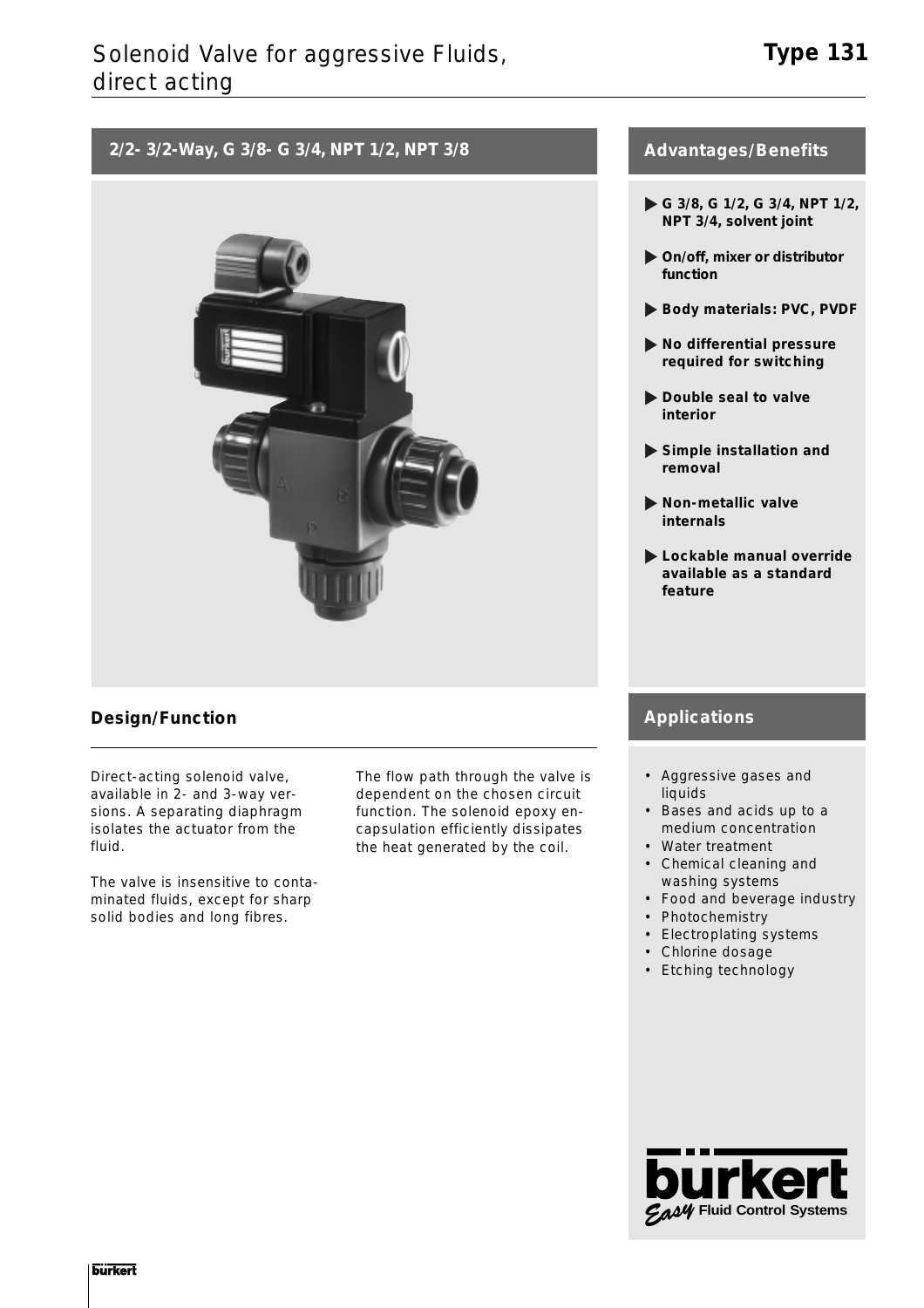## **2/2- 3/2-Way, G 3/8- G 3/4, NPT 1/2, NPT 3/8**



## **Design/Function**

Direct-acting solenoid valve, available in 2- and 3-way versions. A separating diaphragm isolates the actuator from the fluid.

The valve is insensitive to contaminated fluids, except for sharp solid bodies and long fibres.

The flow path through the valve is dependent on the chosen circuit function. The solenoid epoxy encapsulation efficiently dissipates the heat generated by the coil.

## **Advantages/Benefits**

- **G 3/8, G 1/2, G 3/4, NPT 1/2, NPT 3/4, solvent joint**
- **On/off, mixer or distributor function**
- **Body materials: PVC, PVDF**
- **No differential pressure required for switching**
- **Double seal to valve interior**
- **Simple installation and removal**
- **Non-metallic valve internals**
- **Lockable manual override available as a standard feature**

## **Applications**

- Aggressive gases and liquids
- Bases and acids up to a medium concentration
- Water treatment
- Chemical cleaning and washing systems
- Food and beverage industry
- Photochemistry
- Electroplating systems
- Chlorine dosage
- Etching technology

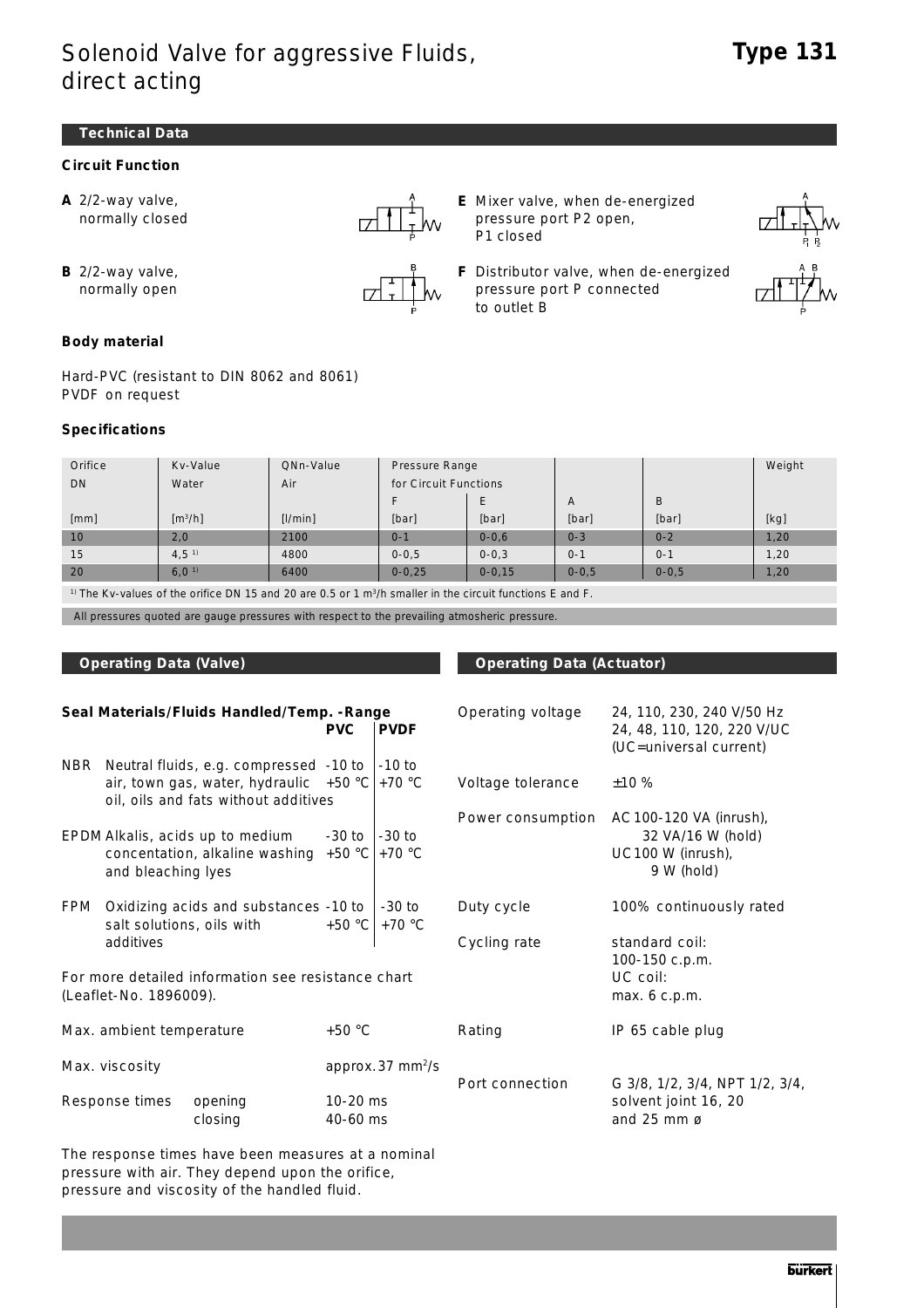#### **Technical Data**

### **Circuit Function**

**A** 2/2-way valve, normally closed



- **E** Mixer valve, when de-energized pressure port P2 open, P1 closed
- **F** Distributor valve, when de-energized pressure port P connected to outlet B



**B** 2/2-way valve, normally open

**Body material**

Hard-PVC (resistant to DIN 8062 and 8061) PVDF on request

#### **Specifications**

| Orifice                                                                                                                       | Kv-Value                     | QNn-Value | Pressure Range        |            |           |           | Weight |  |
|-------------------------------------------------------------------------------------------------------------------------------|------------------------------|-----------|-----------------------|------------|-----------|-----------|--------|--|
| D <sub>N</sub>                                                                                                                | Water                        | Air       | for Circuit Functions |            |           |           |        |  |
|                                                                                                                               |                              |           |                       |            | A         | B         |        |  |
| [mm]                                                                                                                          | $\left[\frac{m^3}{h}\right]$ | [1/min]   | [bar]                 | [bar]      | [bar]     | [bar]     | [kg]   |  |
| 10                                                                                                                            | 2,0                          | 2100      | $0 - 1$               | $0 - 0.6$  | $0 - 3$   | $0 - 2$   | 1,20   |  |
| 15                                                                                                                            | 4,5 <sup>1</sup>             | 4800      | $0 - 0.5$             | $0 - 0.3$  | $0 - 1$   | $0 - 1$   | 1,20   |  |
| 20                                                                                                                            | 6.0 <sup>1</sup>             | 6400      | $0 - 0.25$            | $0 - 0.15$ | $0 - 0.5$ | $0 - 0.5$ | 1,20   |  |
| $\pm 0$ The $\pm 0$ , and an efficient of the DNLAE end OO and OF and match and the standard standard control of the Figure C |                              |           |                       |            |           |           |        |  |

<sup>1)</sup> The Kv-values of the orifice DN 15 and 20 are 0.5 or 1  $\text{m}^3/\text{h}$  smaller in the circuit functions E and F.

All pressures quoted are gauge pressures with respect to the prevailing atmosheric pressure.

#### **Operating Data (Valve) Community Constraints Operating Data (Actuator)**

|                                      |                                                                                 | Seal Materials/Fluids Handled/Temp. - Range                                                                                | <b>PVC</b>         | <b>PVDF</b>                      | Operating voltage                                 | 24, 110, 230, 240 V/50 Hz<br>24, 48, 110, 120, 220 V/UC<br>(UC=universal current) |
|--------------------------------------|---------------------------------------------------------------------------------|----------------------------------------------------------------------------------------------------------------------------|--------------------|----------------------------------|---------------------------------------------------|-----------------------------------------------------------------------------------|
| NBR                                  |                                                                                 | Neutral fluids, e.g. compressed -10 to<br>air, town gas, water, hydraulic $+50$ °C<br>oil, oils and fats without additives |                    | $-10$ to<br>$+70 °C$             | Voltage tolerance                                 | ±10%                                                                              |
|                                      | and bleaching lyes                                                              | EPDM Alkalis, acids up to medium<br>concentation, alkaline washing                                                         | -30 to<br>$+50 °C$ | $-30$ to<br>$+70 °C$             | Power consumption                                 | AC 100-120 VA (inrush),<br>32 VA/16 W (hold)<br>UC100 W (inrush),<br>9 W (hold)   |
| FPM                                  | Oxidizing acids and substances -10 to<br>salt solutions, oils with<br>additives |                                                                                                                            |                    | $-30$ to<br>$+50 °C$<br>$+70 °C$ | Duty cycle<br>Cycling rate                        | 100% continuously rated<br>standard coil:<br>100-150 c.p.m.                       |
|                                      | (Leaflet-No. 1896009).                                                          | For more detailed information see resistance chart                                                                         |                    |                                  |                                                   | UC coil:<br>max. 6 c.p.m.                                                         |
| Max. ambient temperature             |                                                                                 | $+50 °C$                                                                                                                   |                    | Rating                           | IP 65 cable plug                                  |                                                                                   |
| Max. viscosity                       |                                                                                 | approx.37 mm <sup>2</sup> /s<br>$10-20$ ms<br>40-60 ms                                                                     |                    | Port connection                  | G 3/8, 1/2, 3/4, NPT 1/2, 3/4,                    |                                                                                   |
| Response times<br>opening<br>closing |                                                                                 |                                                                                                                            |                    |                                  | solvent joint 16, 20<br>and $25$ mm $\varnothing$ |                                                                                   |

The response times have been measures at a nominal pressure with air. They depend upon the orifice, pressure and viscosity of the handled fluid.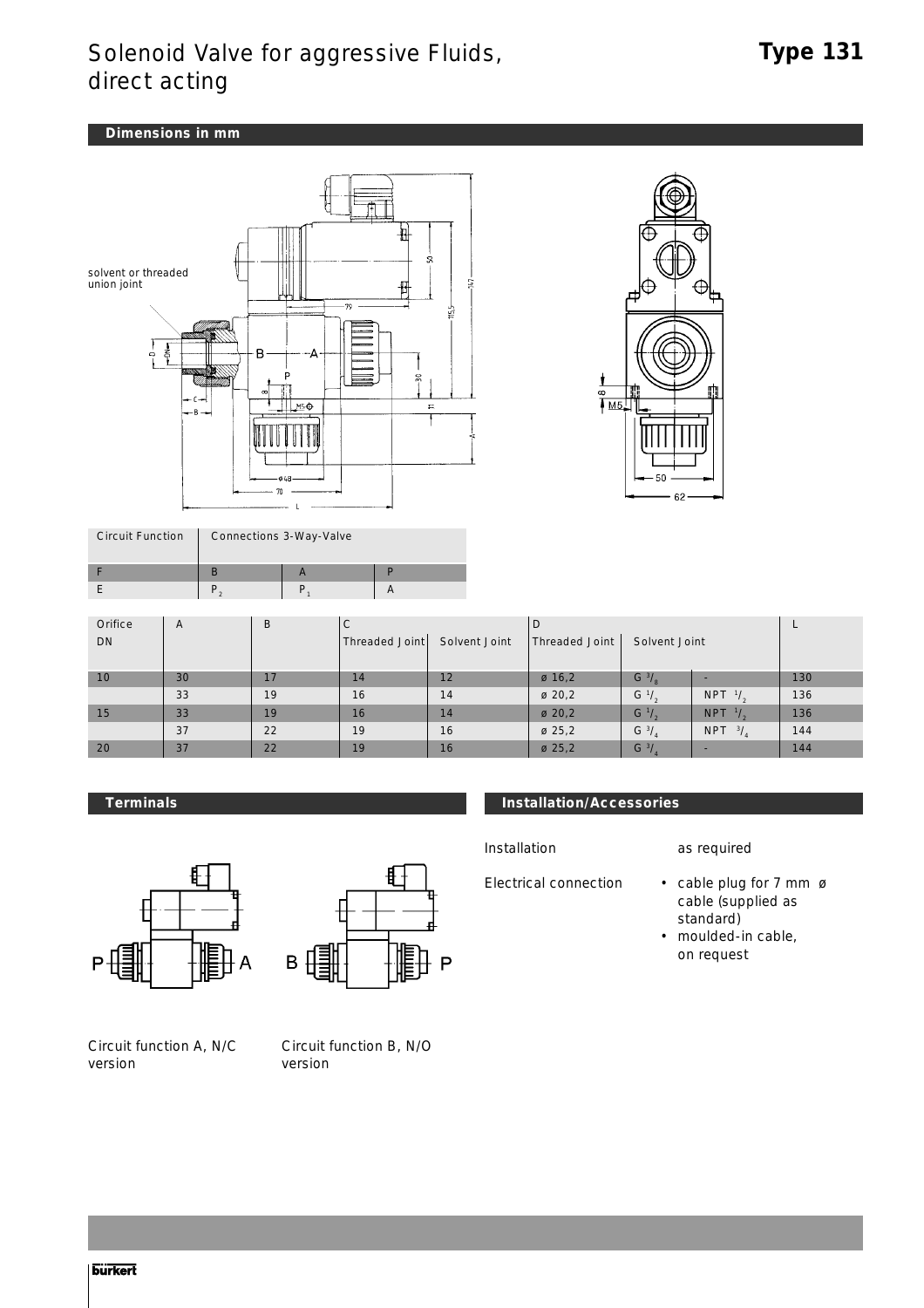### **Dimensions in mm**



| <b>Circuit Function</b> | Connections 3-Way-Valve |  |  |  |  |  |  |
|-------------------------|-------------------------|--|--|--|--|--|--|
|                         |                         |  |  |  |  |  |  |
|                         |                         |  |  |  |  |  |  |
|                         |                         |  |  |  |  |  |  |



| Orifice | A  | B  | l C                               |    | IJ                 |                  |                             |     |
|---------|----|----|-----------------------------------|----|--------------------|------------------|-----------------------------|-----|
| DN      |    |    | Solvent Joint<br>  Threaded Joint |    | Threaded Joint     | Solvent Joint    |                             |     |
|         |    |    |                                   |    |                    |                  |                             |     |
| 10      | 30 | 17 | 14                                | 12 | $\varnothing$ 16,2 | G $3/2$          | -                           | 130 |
|         | 33 | 19 | 16                                | 14 | $\varnothing$ 20,2 | $G^{-1}/_{2}$    | NPT $\frac{1}{2}$           | 136 |
| 15      | 33 | 19 | 16                                | 14 | $\varnothing$ 20,2 | $G^{-1}/_{2}$    | <b>NPT</b><br>$\frac{1}{2}$ | 136 |
|         | 37 | 22 | 19                                | 16 | $\varnothing$ 25,2 | G <sup>3</sup> / | <b>NPT</b><br>3/            | 144 |
| 20      | 37 | 22 | 19                                | 16 | $\varnothing$ 25,2 | $G^{3}$ /        |                             | 144 |



Circuit function A, N/C version



Circuit function B, N/O version

### **Terminals Installation/Accessories**

Installation as required

- Electrical connection cable plug for 7 mm ø cable (supplied as standard)
	- moulded-in cable, on request

**burkert**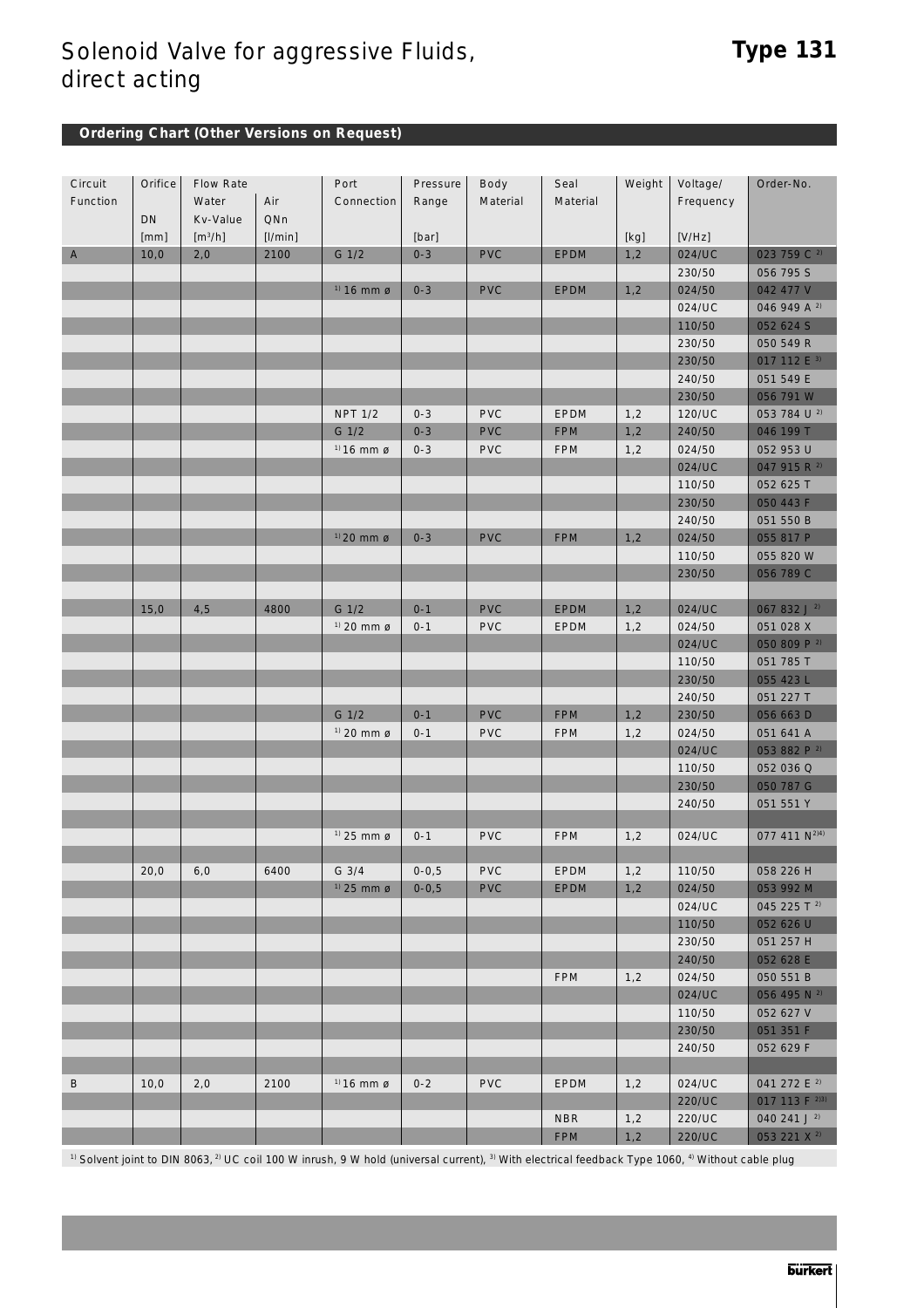## **Ordering Chart (Other Versions on Request)**

| Circuit     | Orifice | Flow Rate           |         | Port                   | Pressure   | Body       | Seal        | Weight | Voltage/  | Order-No.                 |
|-------------|---------|---------------------|---------|------------------------|------------|------------|-------------|--------|-----------|---------------------------|
| Function    |         | Water               | Air     | Connection             | Range      | Material   | Material    |        | Frequency |                           |
|             | DN      | Kv-Value            | QNn     |                        |            |            |             |        |           |                           |
|             | [mm]    | [m <sup>3</sup> /h] | [1/min] |                        | [bar]      |            |             | [kg]   | [V/Hz]    |                           |
| $\mathsf A$ | 10,0    | 2,0                 | 2100    | G 1/2                  | $0 - 3$    | <b>PVC</b> | <b>EPDM</b> | 1,2    | 024/UC    | 023 759 C <sup>2)</sup>   |
|             |         |                     |         |                        |            |            |             |        | 230/50    | 056 795 S                 |
|             |         |                     |         | $1)$ 16 mm $\alpha$    | $0 - 3$    | <b>PVC</b> | <b>EPDM</b> | 1,2    | 024/50    | 042 477 V                 |
|             |         |                     |         |                        |            |            |             |        | 024/UC    | 046 949 A <sup>2)</sup>   |
|             |         |                     |         |                        |            |            |             |        | 110/50    | 052 624 S                 |
|             |         |                     |         |                        |            |            |             |        | 230/50    | 050 549 R                 |
|             |         |                     |         |                        |            |            |             |        | 230/50    | 017 112 E <sup>3)</sup>   |
|             |         |                     |         |                        |            |            |             |        | 240/50    | 051 549 E                 |
|             |         |                     |         |                        |            |            |             |        | 230/50    | 056 791 W                 |
|             |         |                     |         | <b>NPT 1/2</b>         | $0 - 3$    | <b>PVC</b> | <b>EPDM</b> | 1,2    | 120/UC    | 053 784 U 2)              |
|             |         |                     |         | G 1/2                  | $0 - 3$    | <b>PVC</b> | <b>FPM</b>  | 1,2    | 240/50    | 046 199 T                 |
|             |         |                     |         | $1) 16$ mm ø           | $0 - 3$    | <b>PVC</b> | <b>FPM</b>  | 1,2    | 024/50    | 052 953 U                 |
|             |         |                     |         |                        |            |            |             |        | 024/UC    | 047 915 R 2)              |
|             |         |                     |         |                        |            |            |             |        | 110/50    | 052 625 T                 |
|             |         |                     |         |                        |            |            |             |        | 230/50    | 050 443 F                 |
|             |         |                     |         |                        |            |            |             |        | 240/50    | 051 550 B                 |
|             |         |                     |         | $1)$ 20 mm $\alpha$    | $0 - 3$    | <b>PVC</b> | <b>FPM</b>  | 1,2    | 024/50    | 055 817 P                 |
|             |         |                     |         |                        |            |            |             |        |           |                           |
|             |         |                     |         |                        |            |            |             |        | 110/50    | 055 820 W                 |
|             |         |                     |         |                        |            |            |             |        | 230/50    | 056 789 C                 |
|             |         |                     |         |                        |            |            |             |        |           |                           |
|             | 15,0    | 4,5                 | 4800    | G 1/2                  | $0 - 1$    | <b>PVC</b> | EPDM        | 1,2    | 024/UC    | 067 832 J <sup>2</sup>    |
|             |         |                     |         | $1)$ 20 mm $\alpha$    | $0 - 1$    | <b>PVC</b> | EPDM        | 1,2    | 024/50    | 051 028 X                 |
|             |         |                     |         |                        |            |            |             |        | 024/UC    | 050 809 P 2)              |
|             |         |                     |         |                        |            |            |             |        | 110/50    | 051 785 T                 |
|             |         |                     |         |                        |            |            |             |        | 230/50    | 055 423 L                 |
|             |         |                     |         |                        |            |            |             |        | 240/50    | 051 227 T                 |
|             |         |                     |         | G 1/2                  | $0 - 1$    | <b>PVC</b> | <b>FPM</b>  | 1,2    | 230/50    | 056 663 D                 |
|             |         |                     |         | $1)$ 20 mm $\sigma$    | $0 - 1$    | <b>PVC</b> | <b>FPM</b>  | 1,2    | 024/50    | 051 641 A                 |
|             |         |                     |         |                        |            |            |             |        | 024/UC    | 053 882 P 2)              |
|             |         |                     |         |                        |            |            |             |        | 110/50    | 052 036 Q                 |
|             |         |                     |         |                        |            |            |             |        | 230/50    | 050 787 G                 |
|             |         |                     |         |                        |            |            |             |        | 240/50    | 051 551 Y                 |
|             |         |                     |         |                        |            |            |             |        |           |                           |
|             |         |                     |         | $1)$ 25 mm $\emptyset$ | $0 - 1$    | <b>PVC</b> | <b>FPM</b>  | 1,2    | 024/UC    | 077 411 N <sup>2)4)</sup> |
|             |         |                     |         |                        |            |            |             |        |           |                           |
|             | 20,0    | 6,0                 | 6400    | $G$ 3/4                | $0 - 0, 5$ | <b>PVC</b> | EPDM        | 1,2    | 110/50    | 058 226 H                 |
|             |         |                     |         | $1)$ 25 mm $\alpha$    | $0 - 0, 5$ | <b>PVC</b> | <b>EPDM</b> | 1,2    | 024/50    | 053 992 M                 |
|             |         |                     |         |                        |            |            |             |        | 024/UC    | 045 225 T <sup>2</sup>    |
|             |         |                     |         |                        |            |            |             |        | 110/50    | 052 626 U                 |
|             |         |                     |         |                        |            |            |             |        | 230/50    | 051 257 H                 |
|             |         |                     |         |                        |            |            |             |        | 240/50    | 052 628 E                 |
|             |         |                     |         |                        |            |            | <b>FPM</b>  | 1,2    | 024/50    | 050 551 B                 |
|             |         |                     |         |                        |            |            |             |        | 024/UC    | 056 495 N <sup>2)</sup>   |
|             |         |                     |         |                        |            |            |             |        | 110/50    | 052 627 V                 |
|             |         |                     |         |                        |            |            |             |        | 230/50    | 051 351 F                 |
|             |         |                     |         |                        |            |            |             |        | 240/50    | 052 629 F                 |
|             |         |                     |         |                        |            |            |             |        |           |                           |
|             |         |                     |         |                        |            |            |             |        |           |                           |
| B           | 10,0    | 2,0                 | 2100    | $^{1}$ 16 mm ø         | $0 - 2$    | <b>PVC</b> | EPDM        | 1,2    | 024/UC    | 041 272 E <sup>2</sup>    |
|             |         |                     |         |                        |            |            |             |        | 220/UC    | 017 113 F 2)3)            |
|             |         |                     |         |                        |            |            | <b>NBR</b>  | 1,2    | 220/UC    | 040 241 J $^{2}$          |
|             |         |                     |         |                        |            |            | <b>FPM</b>  | 1,2    | 220/UC    | 053 221 X <sup>2)</sup>   |

 $1)$  Solvent joint to DIN 8063,  $2)$  UC coil 100 W inrush, 9 W hold (universal current),  $3)$  With electrical feedback Type 1060,  $4)$  Without cable plug